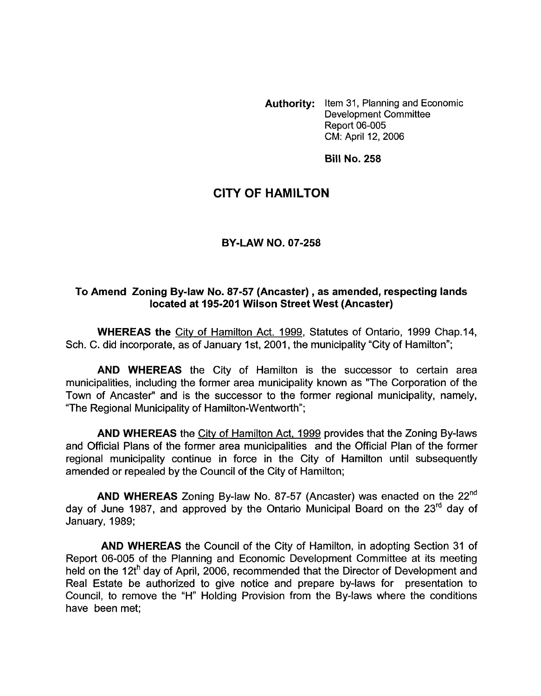**Authority:** Item 31, Planning and Economic Development Committee Report 06-005 CM: April 12, 2006

**Bill No. 258** 

## **CITY OF HAMILTON**

## **BY-LAW NO. 07-258**

## **To Amend Zoning Bylaw No. 87-57 (Ancaster), as amended, respecting lands located at 195-201 Wilson Street West (Ancaster)**

**WHEREAS the** Citv of Hamilton Act. 1999, Statutes of Ontario, 1999 Chap.14, Sch. C. did incorporate, as of January 1st, 2001, the municipality "City of Hamilton";

**AND WHEREAS** the City of Hamilton is the successor to certain area municipalities, including the former area municipality known as "The Corporation of the Town of Ancaster" and is the successor to the former regional municipality, namely, "The Regional Municipality of Hamilton-Wentworth";

**AND WHEREAS** the City of Hamilton Act, 1999 provides that the Zoning By-laws and Official Plans of the former area municipalities and the Official Plan of the former regional municipality continue in force in the City of Hamilton until subsequently amended or repealed by the Council of the City of Hamilton;

**AND WHEREAS** Zoning By-law **No.** 87-57 (Ancaster) was enacted on the 22nd day of June 1987, and approved by the Ontario Municipal Board on the 23<sup>rd</sup> day of January, 1989;

**AND WHEREAS** the Council of the City of Hamilton, in adopting Section 31 of Report 06-005 of the Planning and Economic Development Committee at its meeting held on the 12th day of April, 2006, recommended that the Director of Development and Real Estate be authorized to give notice and prepare by-laws for presentation to Council, to remove the "H" Holding Provision from the By-laws where the conditions have been met;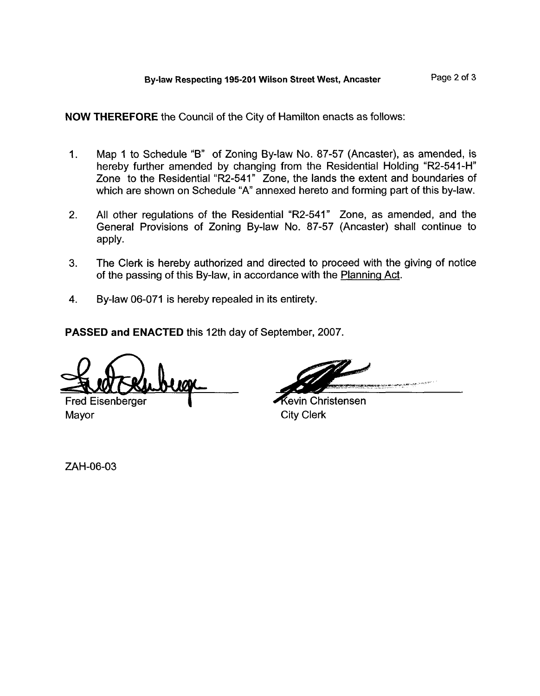**NOW THEREFORE** the Council of the City of Hamilton enacts as follows:

- 1. Map 1 to Schedule "B" of Zoning By-law No. 87-57 (Ancaster), as amended, is hereby further amended by changing from the Residential Holding "R2-541-H" Zone to the Residential "R2-541" Zone, the lands the extent and boundaries *of*  which are shown on Schedule "A" annexed hereto and forming part of this by-law.
- 2. All other regulations *of* the Residential "R2-541" Zone, as amended, and the General Provisions of Zoning By-law No. 87-57 (Ancaster) shall continue to apply.
- **3.**  The Clerk is hereby authorized and directed to proceed with the giving *of* notice of the passing of this By-law, in accordance with the Planninq Act.
- 4. By-law 06-071 is hereby repealed in its entirety.

**PASSED and ENACTED** this 12th day of September, 2007.

Fred Eisenberger **I Providence and The Contract Christensen**<br>Mayor City Clerk

**City Clerk** 

ZAH-06-03